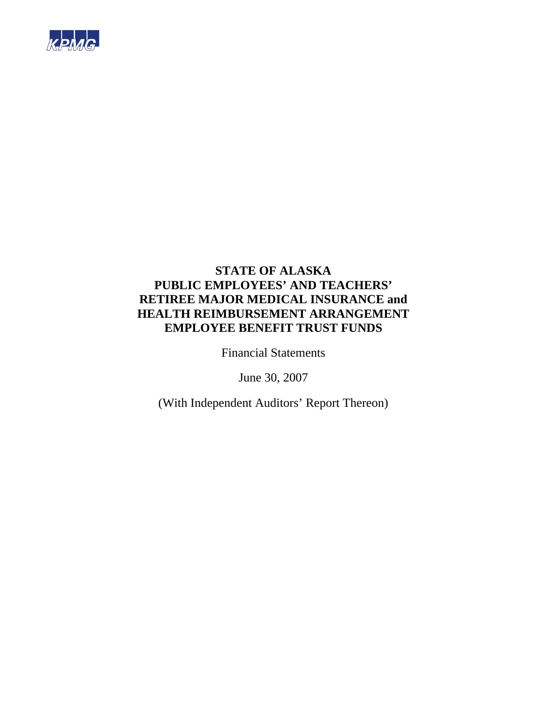

Financial Statements

June 30, 2007

(With Independent Auditors' Report Thereon)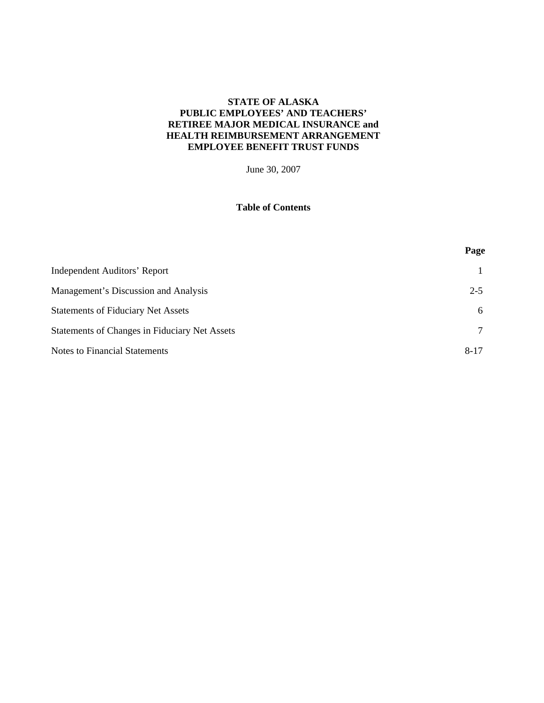June 30, 2007

## **Table of Contents**

**Page** 

| <b>Independent Auditors' Report</b>                  |          |
|------------------------------------------------------|----------|
| Management's Discussion and Analysis                 | $2 - 5$  |
| <b>Statements of Fiduciary Net Assets</b>            | 6        |
| <b>Statements of Changes in Fiduciary Net Assets</b> | $\tau$   |
| <b>Notes to Financial Statements</b>                 | $8 - 17$ |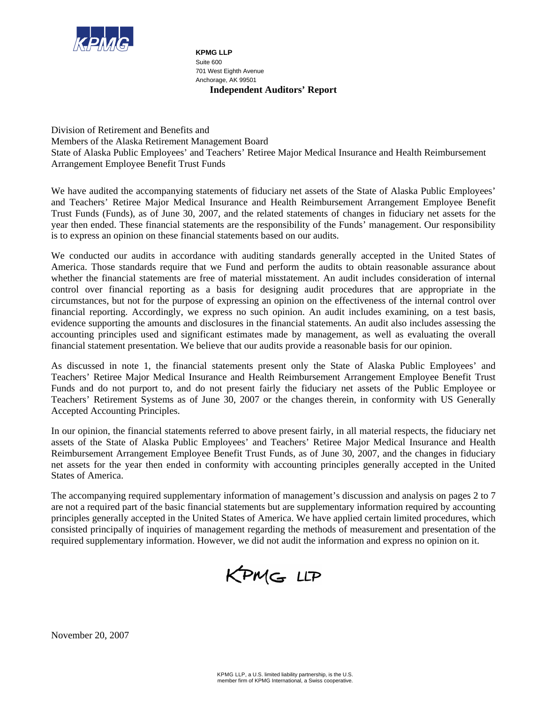

**Independent Auditors' Report KPMG LLP**  Suite 600 701 West Eighth Avenue Anchorage, AK 99501

Division of Retirement and Benefits and Members of the Alaska Retirement Management Board State of Alaska Public Employees' and Teachers' Retiree Major Medical Insurance and Health Reimbursement Arrangement Employee Benefit Trust Funds

We have audited the accompanying statements of fiduciary net assets of the State of Alaska Public Employees' and Teachers' Retiree Major Medical Insurance and Health Reimbursement Arrangement Employee Benefit Trust Funds (Funds), as of June 30, 2007, and the related statements of changes in fiduciary net assets for the year then ended. These financial statements are the responsibility of the Funds' management. Our responsibility is to express an opinion on these financial statements based on our audits.

We conducted our audits in accordance with auditing standards generally accepted in the United States of America. Those standards require that we Fund and perform the audits to obtain reasonable assurance about whether the financial statements are free of material misstatement. An audit includes consideration of internal control over financial reporting as a basis for designing audit procedures that are appropriate in the circumstances, but not for the purpose of expressing an opinion on the effectiveness of the internal control over financial reporting. Accordingly, we express no such opinion. An audit includes examining, on a test basis, evidence supporting the amounts and disclosures in the financial statements. An audit also includes assessing the accounting principles used and significant estimates made by management, as well as evaluating the overall financial statement presentation. We believe that our audits provide a reasonable basis for our opinion.

As discussed in note 1, the financial statements present only the State of Alaska Public Employees' and Teachers' Retiree Major Medical Insurance and Health Reimbursement Arrangement Employee Benefit Trust Funds and do not purport to, and do not present fairly the fiduciary net assets of the Public Employee or Teachers' Retirement Systems as of June 30, 2007 or the changes therein, in conformity with US Generally Accepted Accounting Principles.

In our opinion, the financial statements referred to above present fairly, in all material respects, the fiduciary net assets of the State of Alaska Public Employees' and Teachers' Retiree Major Medical Insurance and Health Reimbursement Arrangement Employee Benefit Trust Funds, as of June 30, 2007, and the changes in fiduciary net assets for the year then ended in conformity with accounting principles generally accepted in the United States of America.

The accompanying required supplementary information of management's discussion and analysis on pages 2 to 7 are not a required part of the basic financial statements but are supplementary information required by accounting principles generally accepted in the United States of America. We have applied certain limited procedures, which consisted principally of inquiries of management regarding the methods of measurement and presentation of the required supplementary information. However, we did not audit the information and express no opinion on it.



November 20, 2007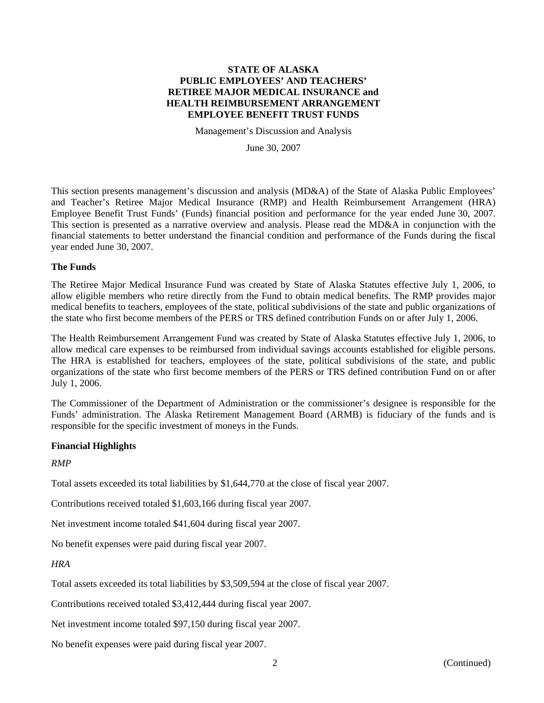Management's Discussion and Analysis

June 30, 2007

This section presents management's discussion and analysis (MD&A) of the State of Alaska Public Employees' and Teacher's Retiree Major Medical Insurance (RMP) and Health Reimbursement Arrangement (HRA) Employee Benefit Trust Funds' (Funds) financial position and performance for the year ended June 30, 2007. This section is presented as a narrative overview and analysis. Please read the MD&A in conjunction with the financial statements to better understand the financial condition and performance of the Funds during the fiscal year ended June 30, 2007.

#### **The Funds**

The Retiree Major Medical Insurance Fund was created by State of Alaska Statutes effective July 1, 2006, to allow eligible members who retire directly from the Fund to obtain medical benefits. The RMP provides major medical benefits to teachers, employees of the state, political subdivisions of the state and public organizations of the state who first become members of the PERS or TRS defined contribution Funds on or after July 1, 2006.

The Health Reimbursement Arrangement Fund was created by State of Alaska Statutes effective July 1, 2006, to allow medical care expenses to be reimbursed from individual savings accounts established for eligible persons. The HRA is established for teachers, employees of the state, political subdivisions of the state, and public organizations of the state who first become members of the PERS or TRS defined contribution Fund on or after July 1, 2006.

The Commissioner of the Department of Administration or the commissioner's designee is responsible for the Funds' administration. The Alaska Retirement Management Board (ARMB) is fiduciary of the funds and is responsible for the specific investment of moneys in the Funds.

#### **Financial Highlights**

*RMP* 

Total assets exceeded its total liabilities by \$1,644,770 at the close of fiscal year 2007.

Contributions received totaled \$1,603,166 during fiscal year 2007.

Net investment income totaled \$41,604 during fiscal year 2007.

No benefit expenses were paid during fiscal year 2007.

#### *HRA*

Total assets exceeded its total liabilities by \$3,509,594 at the close of fiscal year 2007.

Contributions received totaled \$3,412,444 during fiscal year 2007.

Net investment income totaled \$97,150 during fiscal year 2007.

No benefit expenses were paid during fiscal year 2007.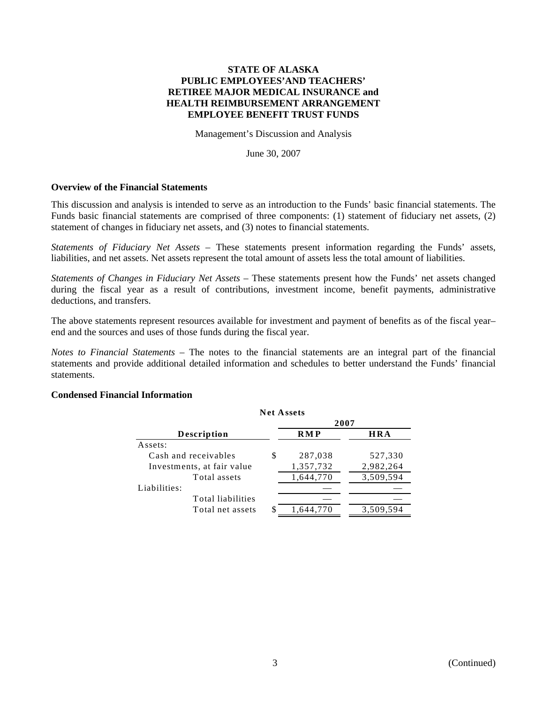Management's Discussion and Analysis

June 30, 2007

#### **Overview of the Financial Statements**

This discussion and analysis is intended to serve as an introduction to the Funds' basic financial statements. The Funds basic financial statements are comprised of three components: (1) statement of fiduciary net assets, (2) statement of changes in fiduciary net assets, and (3) notes to financial statements.

*Statements of Fiduciary Net Assets* – These statements present information regarding the Funds' assets, liabilities, and net assets. Net assets represent the total amount of assets less the total amount of liabilities.

*Statements of Changes in Fiduciary Net Assets* – These statements present how the Funds' net assets changed during the fiscal year as a result of contributions, investment income, benefit payments, administrative deductions, and transfers.

The above statements represent resources available for investment and payment of benefits as of the fiscal year– end and the sources and uses of those funds during the fiscal year.

*Notes to Financial Statements* – The notes to the financial statements are an integral part of the financial statements and provide additional detailed information and schedules to better understand the Funds' financial statements.

**Net Assets**

#### **Condensed Financial Information**

|                            |   | 1.1.1.1.1.1.7.1.1.1.1 |            |  |  |  |
|----------------------------|---|-----------------------|------------|--|--|--|
|                            |   | 2007                  |            |  |  |  |
| <b>Description</b>         |   | <b>RMP</b>            | <b>HRA</b> |  |  |  |
| Assets:                    |   |                       |            |  |  |  |
| Cash and receivables       | S | 287,038               | 527,330    |  |  |  |
| Investments, at fair value |   | 1,357,732             | 2,982,264  |  |  |  |
| Total assets               |   | 1,644,770             | 3,509,594  |  |  |  |
| Liabilities:               |   |                       |            |  |  |  |
| Total liabilities          |   |                       |            |  |  |  |
| Total net assets           |   | 1.644.770             | 3,509,594  |  |  |  |
|                            |   |                       |            |  |  |  |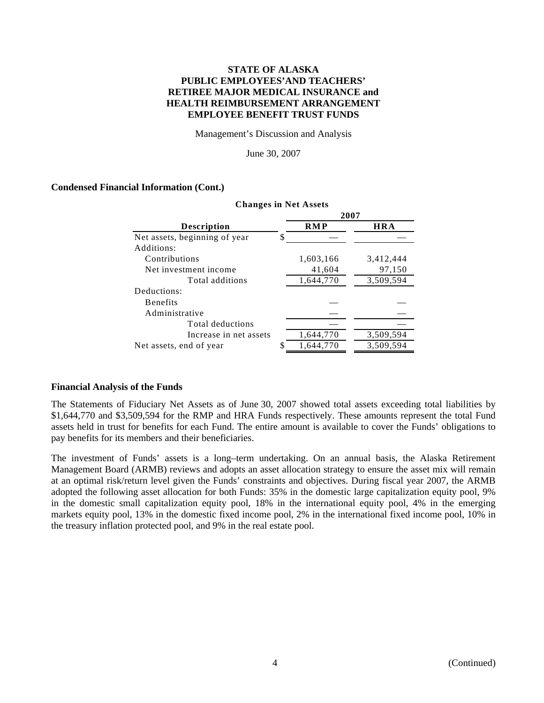Management's Discussion and Analysis

June 30, 2007

## **Condensed Financial Information (Cont.)**

|                               |    | 2007       |            |
|-------------------------------|----|------------|------------|
| <b>Description</b>            |    | <b>RMP</b> | <b>HRA</b> |
| Net assets, beginning of year | S  |            |            |
| Additions:                    |    |            |            |
| Contributions                 |    | 1,603,166  | 3,412,444  |
| Net investment income         |    | 41,604     | 97,150     |
| Total additions               |    | 1,644,770  | 3,509,594  |
| Deductions:                   |    |            |            |
| <b>Benefits</b>               |    |            |            |
| Administrative                |    |            |            |
| Total deductions              |    |            |            |
| Increase in net assets        |    | 1,644,770  | 3,509,594  |
| Net assets, end of year       | \$ | 1,644,770  | 3,509,594  |

#### **Changes in Net Assets**

#### **Financial Analysis of the Funds**

The Statements of Fiduciary Net Assets as of June 30, 2007 showed total assets exceeding total liabilities by \$1,644,770 and \$3,509,594 for the RMP and HRA Funds respectively. These amounts represent the total Fund assets held in trust for benefits for each Fund. The entire amount is available to cover the Funds' obligations to pay benefits for its members and their beneficiaries.

The investment of Funds' assets is a long–term undertaking. On an annual basis, the Alaska Retirement Management Board (ARMB) reviews and adopts an asset allocation strategy to ensure the asset mix will remain at an optimal risk/return level given the Funds' constraints and objectives. During fiscal year 2007, the ARMB adopted the following asset allocation for both Funds: 35% in the domestic large capitalization equity pool, 9% in the domestic small capitalization equity pool, 18% in the international equity pool, 4% in the emerging markets equity pool, 13% in the domestic fixed income pool, 2% in the international fixed income pool, 10% in the treasury inflation protected pool, and 9% in the real estate pool.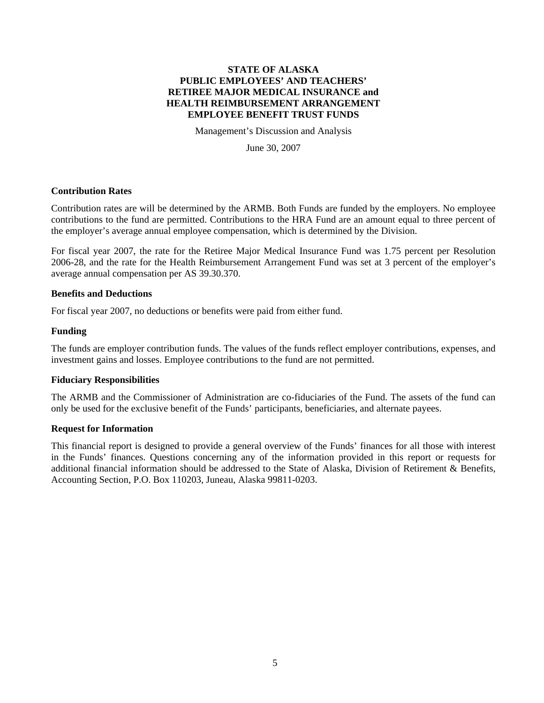Management's Discussion and Analysis

June 30, 2007

## **Contribution Rates**

Contribution rates are will be determined by the ARMB. Both Funds are funded by the employers. No employee contributions to the fund are permitted. Contributions to the HRA Fund are an amount equal to three percent of the employer's average annual employee compensation, which is determined by the Division.

For fiscal year 2007, the rate for the Retiree Major Medical Insurance Fund was 1.75 percent per Resolution 2006-28, and the rate for the Health Reimbursement Arrangement Fund was set at 3 percent of the employer's average annual compensation per AS 39.30.370.

## **Benefits and Deductions**

For fiscal year 2007, no deductions or benefits were paid from either fund.

## **Funding**

The funds are employer contribution funds. The values of the funds reflect employer contributions, expenses, and investment gains and losses. Employee contributions to the fund are not permitted.

#### **Fiduciary Responsibilities**

The ARMB and the Commissioner of Administration are co-fiduciaries of the Fund. The assets of the fund can only be used for the exclusive benefit of the Funds' participants, beneficiaries, and alternate payees.

#### **Request for Information**

This financial report is designed to provide a general overview of the Funds' finances for all those with interest in the Funds' finances. Questions concerning any of the information provided in this report or requests for additional financial information should be addressed to the State of Alaska, Division of Retirement & Benefits, Accounting Section, P.O. Box 110203, Juneau, Alaska 99811-0203.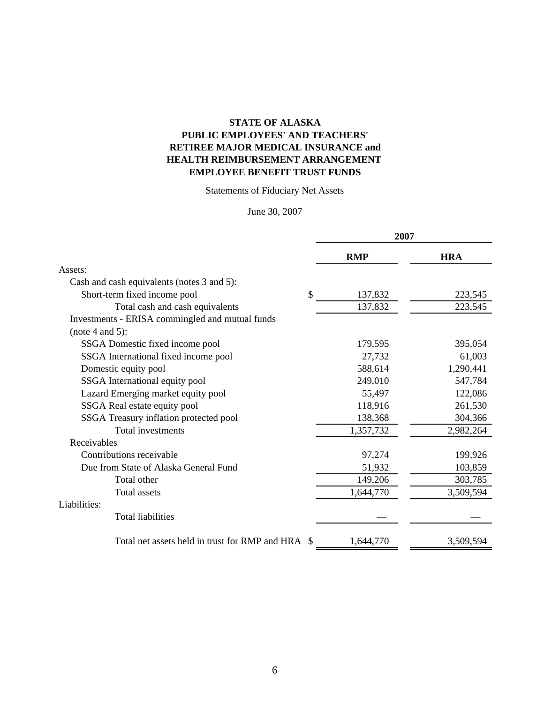## **STATE OF ALASKA PUBLIC EMPLOYEES' AND TEACHERS' EMPLOYEE BENEFIT TRUST FUNDS RETIREE MAJOR MEDICAL INSURANCE and HEALTH REIMBURSEMENT ARRANGEMENT**

Statements of Fiduciary Net Assets

## June 30, 2007

|                                                   | 2007       |            |  |
|---------------------------------------------------|------------|------------|--|
|                                                   | <b>RMP</b> | <b>HRA</b> |  |
| Assets:                                           |            |            |  |
| Cash and cash equivalents (notes 3 and 5):        |            |            |  |
| \$<br>Short-term fixed income pool                | 137,832    | 223,545    |  |
| Total cash and cash equivalents                   | 137,832    | 223,545    |  |
| Investments - ERISA commingled and mutual funds   |            |            |  |
| (note 4 and 5):                                   |            |            |  |
| SSGA Domestic fixed income pool                   | 179,595    | 395,054    |  |
| SSGA International fixed income pool              | 27,732     | 61,003     |  |
| Domestic equity pool                              | 588,614    | 1,290,441  |  |
| SSGA International equity pool                    | 249,010    | 547,784    |  |
| Lazard Emerging market equity pool                | 55,497     | 122,086    |  |
| SSGA Real estate equity pool                      | 118,916    | 261,530    |  |
| SSGA Treasury inflation protected pool            | 138,368    | 304,366    |  |
| Total investments                                 | 1,357,732  | 2,982,264  |  |
| Receivables                                       |            |            |  |
| Contributions receivable                          | 97,274     | 199,926    |  |
| Due from State of Alaska General Fund             | 51,932     | 103,859    |  |
| Total other                                       | 149,206    | 303,785    |  |
| <b>Total assets</b>                               | 1,644,770  | 3,509,594  |  |
| Liabilities:                                      |            |            |  |
| <b>Total liabilities</b>                          |            |            |  |
| Total net assets held in trust for RMP and HRA \$ | 1,644,770  | 3,509,594  |  |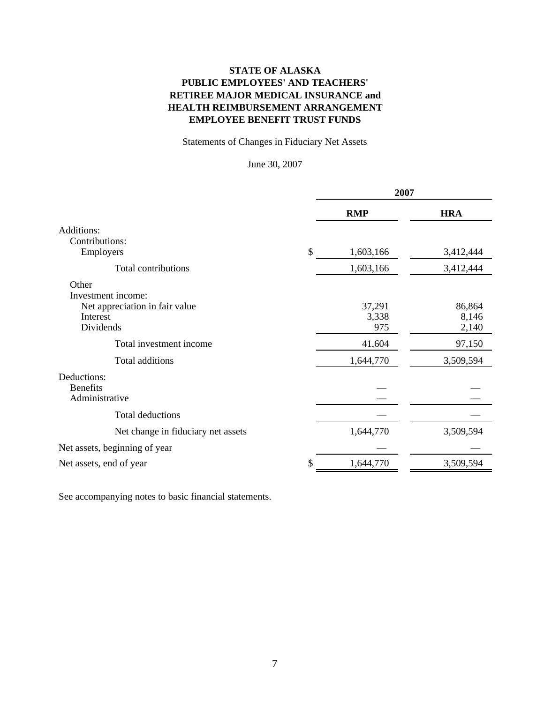## **STATE OF ALASKA PUBLIC EMPLOYEES' AND TEACHERS' EMPLOYEE BENEFIT TRUST FUNDS RETIREE MAJOR MEDICAL INSURANCE and HEALTH REIMBURSEMENT ARRANGEMENT**

Statements of Changes in Fiduciary Net Assets

June 30, 2007

|                                    | 2007 |            |            |
|------------------------------------|------|------------|------------|
|                                    |      | <b>RMP</b> | <b>HRA</b> |
| Additions:                         |      |            |            |
| Contributions:                     |      |            |            |
| Employers                          | \$   | 1,603,166  | 3,412,444  |
| Total contributions                |      | 1,603,166  | 3,412,444  |
| Other                              |      |            |            |
| Investment income:                 |      |            |            |
| Net appreciation in fair value     |      | 37,291     | 86,864     |
| Interest                           |      | 3,338      | 8,146      |
| Dividends                          |      | 975        | 2,140      |
| Total investment income            |      | 41,604     | 97,150     |
| Total additions                    |      | 1,644,770  | 3,509,594  |
| Deductions:                        |      |            |            |
| <b>Benefits</b>                    |      |            |            |
| Administrative                     |      |            |            |
| Total deductions                   |      |            |            |
| Net change in fiduciary net assets |      | 1,644,770  | 3,509,594  |
| Net assets, beginning of year      |      |            |            |
| Net assets, end of year            | \$   | 1,644,770  | 3,509,594  |

See accompanying notes to basic financial statements.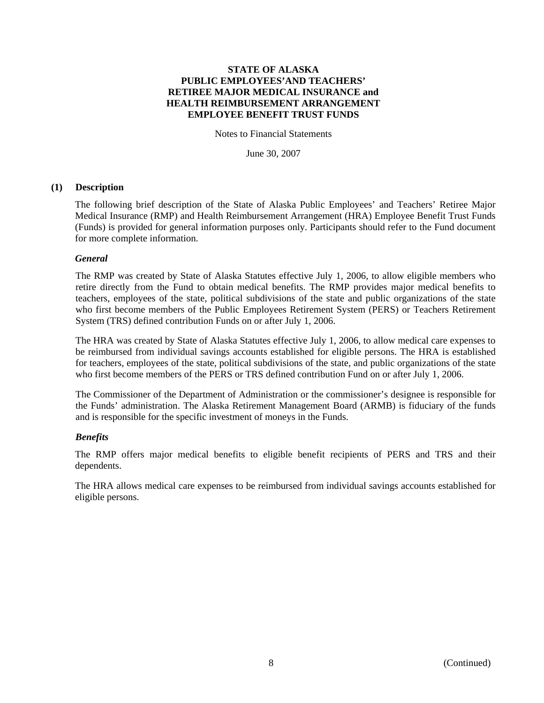Notes to Financial Statements

June 30, 2007

## **(1) Description**

The following brief description of the State of Alaska Public Employees' and Teachers' Retiree Major Medical Insurance (RMP) and Health Reimbursement Arrangement (HRA) Employee Benefit Trust Funds (Funds) is provided for general information purposes only. Participants should refer to the Fund document for more complete information.

## *General*

The RMP was created by State of Alaska Statutes effective July 1, 2006, to allow eligible members who retire directly from the Fund to obtain medical benefits. The RMP provides major medical benefits to teachers, employees of the state, political subdivisions of the state and public organizations of the state who first become members of the Public Employees Retirement System (PERS) or Teachers Retirement System (TRS) defined contribution Funds on or after July 1, 2006.

The HRA was created by State of Alaska Statutes effective July 1, 2006, to allow medical care expenses to be reimbursed from individual savings accounts established for eligible persons. The HRA is established for teachers, employees of the state, political subdivisions of the state, and public organizations of the state who first become members of the PERS or TRS defined contribution Fund on or after July 1, 2006.

The Commissioner of the Department of Administration or the commissioner's designee is responsible for the Funds' administration. The Alaska Retirement Management Board (ARMB) is fiduciary of the funds and is responsible for the specific investment of moneys in the Funds.

#### *Benefits*

The RMP offers major medical benefits to eligible benefit recipients of PERS and TRS and their dependents.

The HRA allows medical care expenses to be reimbursed from individual savings accounts established for eligible persons.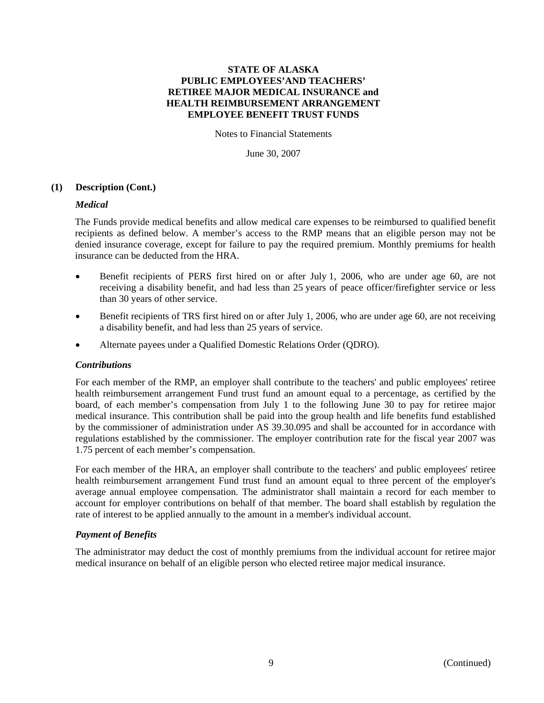Notes to Financial Statements

June 30, 2007

## **(1) Description (Cont.)**

#### *Medical*

The Funds provide medical benefits and allow medical care expenses to be reimbursed to qualified benefit recipients as defined below. A member's access to the RMP means that an eligible person may not be denied insurance coverage, except for failure to pay the required premium. Monthly premiums for health insurance can be deducted from the HRA.

- Benefit recipients of PERS first hired on or after July 1, 2006, who are under age 60, are not receiving a disability benefit, and had less than 25 years of peace officer/firefighter service or less than 30 years of other service.
- Benefit recipients of TRS first hired on or after July 1, 2006, who are under age 60, are not receiving a disability benefit, and had less than 25 years of service.
- Alternate payees under a Qualified Domestic Relations Order (QDRO).

#### *Contributions*

For each member of the RMP, an employer shall contribute to the teachers' and public employees' retiree health reimbursement arrangement Fund trust fund an amount equal to a percentage, as certified by the board, of each member's compensation from July 1 to the following June 30 to pay for retiree major medical insurance. This contribution shall be paid into the group health and life benefits fund established by the commissioner of administration under AS 39.30.095 and shall be accounted for in accordance with regulations established by the commissioner. The employer contribution rate for the fiscal year 2007 was 1.75 percent of each member's compensation.

For each member of the HRA, an employer shall contribute to the teachers' and public employees' retiree health reimbursement arrangement Fund trust fund an amount equal to three percent of the employer's average annual employee compensation. The administrator shall maintain a record for each member to account for employer contributions on behalf of that member. The board shall establish by regulation the rate of interest to be applied annually to the amount in a member's individual account.

## *Payment of Benefits*

The administrator may deduct the cost of monthly premiums from the individual account for retiree major medical insurance on behalf of an eligible person who elected retiree major medical insurance.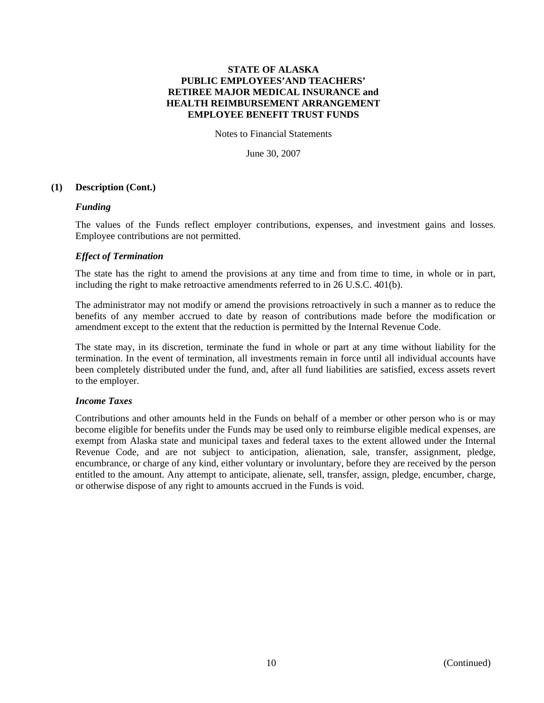Notes to Financial Statements

June 30, 2007

#### **(1) Description (Cont.)**

#### *Funding*

The values of the Funds reflect employer contributions, expenses, and investment gains and losses. Employee contributions are not permitted.

## *Effect of Termination*

The state has the right to amend the provisions at any time and from time to time, in whole or in part, including the right to make retroactive amendments referred to in 26 U.S.C. 401(b).

The administrator may not modify or amend the provisions retroactively in such a manner as to reduce the benefits of any member accrued to date by reason of contributions made before the modification or amendment except to the extent that the reduction is permitted by the Internal Revenue Code.

The state may, in its discretion, terminate the fund in whole or part at any time without liability for the termination. In the event of termination, all investments remain in force until all individual accounts have been completely distributed under the fund, and, after all fund liabilities are satisfied, excess assets revert to the employer.

## *Income Taxes*

Contributions and other amounts held in the Funds on behalf of a member or other person who is or may become eligible for benefits under the Funds may be used only to reimburse eligible medical expenses, are exempt from Alaska state and municipal taxes and federal taxes to the extent allowed under the Internal Revenue Code, and are not subject to anticipation, alienation, sale, transfer, assignment, pledge, encumbrance, or charge of any kind, either voluntary or involuntary, before they are received by the person entitled to the amount. Any attempt to anticipate, alienate, sell, transfer, assign, pledge, encumber, charge, or otherwise dispose of any right to amounts accrued in the Funds is void.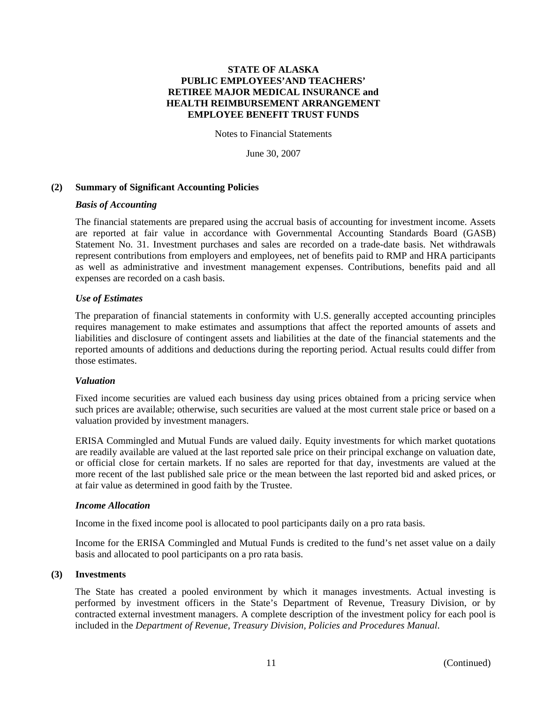Notes to Financial Statements

June 30, 2007

## **(2) Summary of Significant Accounting Policies**

#### *Basis of Accounting*

The financial statements are prepared using the accrual basis of accounting for investment income. Assets are reported at fair value in accordance with Governmental Accounting Standards Board (GASB) Statement No. 31. Investment purchases and sales are recorded on a trade-date basis. Net withdrawals represent contributions from employers and employees, net of benefits paid to RMP and HRA participants as well as administrative and investment management expenses. Contributions, benefits paid and all expenses are recorded on a cash basis.

## *Use of Estimates*

The preparation of financial statements in conformity with U.S. generally accepted accounting principles requires management to make estimates and assumptions that affect the reported amounts of assets and liabilities and disclosure of contingent assets and liabilities at the date of the financial statements and the reported amounts of additions and deductions during the reporting period. Actual results could differ from those estimates.

#### *Valuation*

Fixed income securities are valued each business day using prices obtained from a pricing service when such prices are available; otherwise, such securities are valued at the most current stale price or based on a valuation provided by investment managers.

ERISA Commingled and Mutual Funds are valued daily. Equity investments for which market quotations are readily available are valued at the last reported sale price on their principal exchange on valuation date, or official close for certain markets. If no sales are reported for that day, investments are valued at the more recent of the last published sale price or the mean between the last reported bid and asked prices, or at fair value as determined in good faith by the Trustee.

#### *Income Allocation*

Income in the fixed income pool is allocated to pool participants daily on a pro rata basis.

Income for the ERISA Commingled and Mutual Funds is credited to the fund's net asset value on a daily basis and allocated to pool participants on a pro rata basis.

#### **(3) Investments**

The State has created a pooled environment by which it manages investments. Actual investing is performed by investment officers in the State's Department of Revenue, Treasury Division, or by contracted external investment managers. A complete description of the investment policy for each pool is included in the *Department of Revenue, Treasury Division, Policies and Procedures Manual*.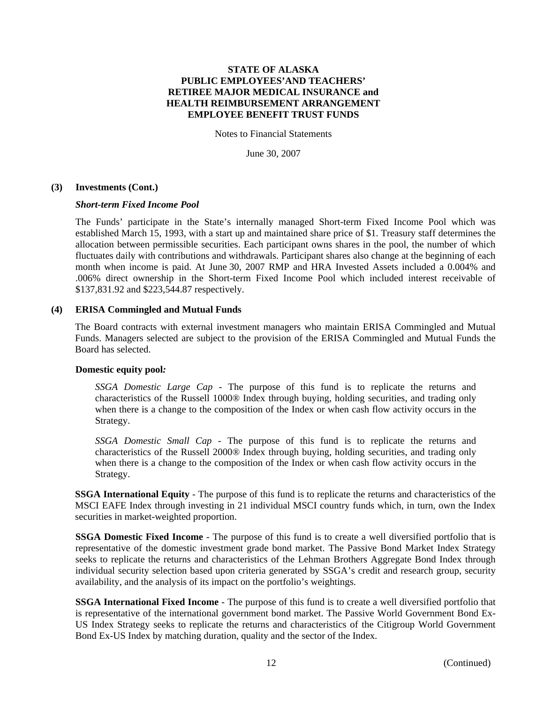Notes to Financial Statements

June 30, 2007

#### **(3) Investments (Cont.)**

## *Short-term Fixed Income Pool*

The Funds' participate in the State's internally managed Short-term Fixed Income Pool which was established March 15, 1993, with a start up and maintained share price of \$1. Treasury staff determines the allocation between permissible securities. Each participant owns shares in the pool, the number of which fluctuates daily with contributions and withdrawals. Participant shares also change at the beginning of each month when income is paid. At June 30, 2007 RMP and HRA Invested Assets included a 0.004% and .006% direct ownership in the Short-term Fixed Income Pool which included interest receivable of \$137,831.92 and \$223,544.87 respectively.

#### **(4) ERISA Commingled and Mutual Funds**

The Board contracts with external investment managers who maintain ERISA Commingled and Mutual Funds. Managers selected are subject to the provision of the ERISA Commingled and Mutual Funds the Board has selected.

#### **Domestic equity pool***:*

*SSGA Domestic Large Cap* - The purpose of this fund is to replicate the returns and characteristics of the Russell 1000® Index through buying, holding securities, and trading only when there is a change to the composition of the Index or when cash flow activity occurs in the Strategy.

*SSGA Domestic Small Cap* - The purpose of this fund is to replicate the returns and characteristics of the Russell 2000® Index through buying, holding securities, and trading only when there is a change to the composition of the Index or when cash flow activity occurs in the Strategy.

**SSGA International Equity** - The purpose of this fund is to replicate the returns and characteristics of the MSCI EAFE Index through investing in 21 individual MSCI country funds which, in turn, own the Index securities in market-weighted proportion.

**SSGA Domestic Fixed Income** - The purpose of this fund is to create a well diversified portfolio that is representative of the domestic investment grade bond market. The Passive Bond Market Index Strategy seeks to replicate the returns and characteristics of the Lehman Brothers Aggregate Bond Index through individual security selection based upon criteria generated by SSGA's credit and research group, security availability, and the analysis of its impact on the portfolio's weightings.

**SSGA International Fixed Income** - The purpose of this fund is to create a well diversified portfolio that is representative of the international government bond market. The Passive World Government Bond Ex-US Index Strategy seeks to replicate the returns and characteristics of the Citigroup World Government Bond Ex-US Index by matching duration, quality and the sector of the Index.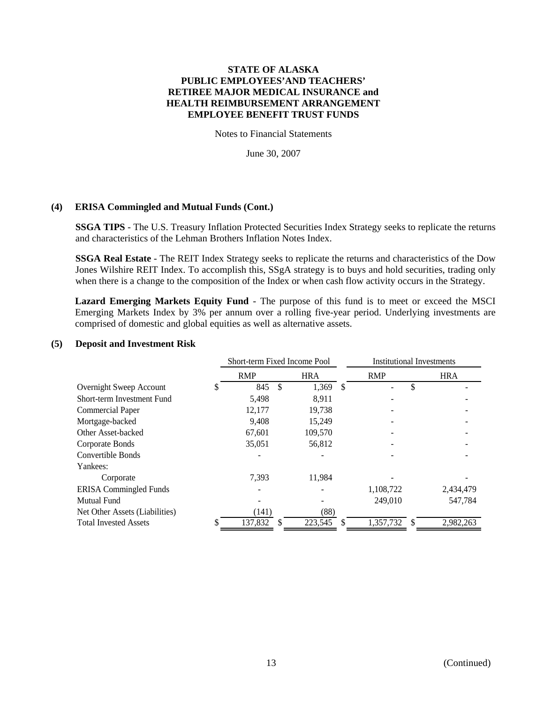Notes to Financial Statements

June 30, 2007

## **(4) ERISA Commingled and Mutual Funds (Cont.)**

**SSGA TIPS** - The U.S. Treasury Inflation Protected Securities Index Strategy seeks to replicate the returns and characteristics of the Lehman Brothers Inflation Notes Index.

**SSGA Real Estate** - The REIT Index Strategy seeks to replicate the returns and characteristics of the Dow Jones Wilshire REIT Index. To accomplish this, SSgA strategy is to buys and hold securities, trading only when there is a change to the composition of the Index or when cash flow activity occurs in the Strategy.

**Lazard Emerging Markets Equity Fund** - The purpose of this fund is to meet or exceed the MSCI Emerging Markets Index by 3% per annum over a rolling five-year period. Underlying investments are comprised of domestic and global equities as well as alternative assets.

## **(5) Deposit and Investment Risk**

|                                | Short-term Fixed Income Pool |     |            | <b>Institutional Investments</b> |            |               |            |
|--------------------------------|------------------------------|-----|------------|----------------------------------|------------|---------------|------------|
|                                | <b>RMP</b>                   |     | <b>HRA</b> |                                  | <b>RMP</b> |               | <b>HRA</b> |
| Overnight Sweep Account        | 845                          | \$. | 1,369      | <sup>\$</sup>                    |            | \$            |            |
| Short-term Investment Fund     | 5,498                        |     | 8,911      |                                  |            |               |            |
| <b>Commercial Paper</b>        | 12,177                       |     | 19,738     |                                  |            |               |            |
| Mortgage-backed                | 9,408                        |     | 15,249     |                                  |            |               |            |
| Other Asset-backed             | 67,601                       |     | 109,570    |                                  |            |               |            |
| Corporate Bonds                | 35,051                       |     | 56,812     |                                  |            |               |            |
| Convertible Bonds              |                              |     |            |                                  |            |               |            |
| Yankees:                       |                              |     |            |                                  |            |               |            |
| Corporate                      | 7,393                        |     | 11,984     |                                  |            |               |            |
| <b>ERISA</b> Commingled Funds  |                              |     |            |                                  | 1,108,722  |               | 2,434,479  |
| <b>Mutual Fund</b>             |                              |     |            |                                  | 249,010    |               | 547,784    |
| Net Other Assets (Liabilities) | (141)                        |     | (88)       |                                  |            |               |            |
| <b>Total Invested Assets</b>   | 137,832                      | -S  | 223,545    | S.                               | 1,357,732  | <sup>\$</sup> | 2,982,263  |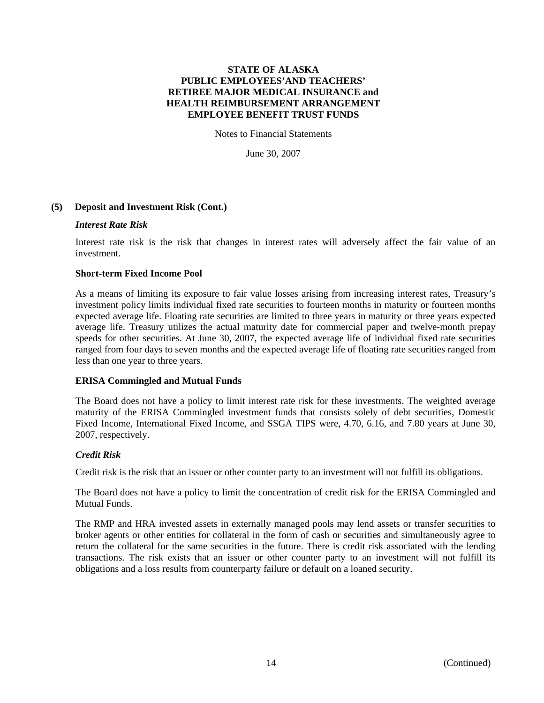Notes to Financial Statements

June 30, 2007

## **(5) Deposit and Investment Risk (Cont.)**

#### *Interest Rate Risk*

Interest rate risk is the risk that changes in interest rates will adversely affect the fair value of an investment.

## **Short-term Fixed Income Pool**

As a means of limiting its exposure to fair value losses arising from increasing interest rates, Treasury's investment policy limits individual fixed rate securities to fourteen months in maturity or fourteen months expected average life. Floating rate securities are limited to three years in maturity or three years expected average life. Treasury utilizes the actual maturity date for commercial paper and twelve-month prepay speeds for other securities. At June 30, 2007, the expected average life of individual fixed rate securities ranged from four days to seven months and the expected average life of floating rate securities ranged from less than one year to three years.

## **ERISA Commingled and Mutual Funds**

The Board does not have a policy to limit interest rate risk for these investments. The weighted average maturity of the ERISA Commingled investment funds that consists solely of debt securities, Domestic Fixed Income, International Fixed Income, and SSGA TIPS were, 4.70, 6.16, and 7.80 years at June 30, 2007, respectively.

#### *Credit Risk*

Credit risk is the risk that an issuer or other counter party to an investment will not fulfill its obligations.

The Board does not have a policy to limit the concentration of credit risk for the ERISA Commingled and Mutual Funds.

The RMP and HRA invested assets in externally managed pools may lend assets or transfer securities to broker agents or other entities for collateral in the form of cash or securities and simultaneously agree to return the collateral for the same securities in the future. There is credit risk associated with the lending transactions. The risk exists that an issuer or other counter party to an investment will not fulfill its obligations and a loss results from counterparty failure or default on a loaned security.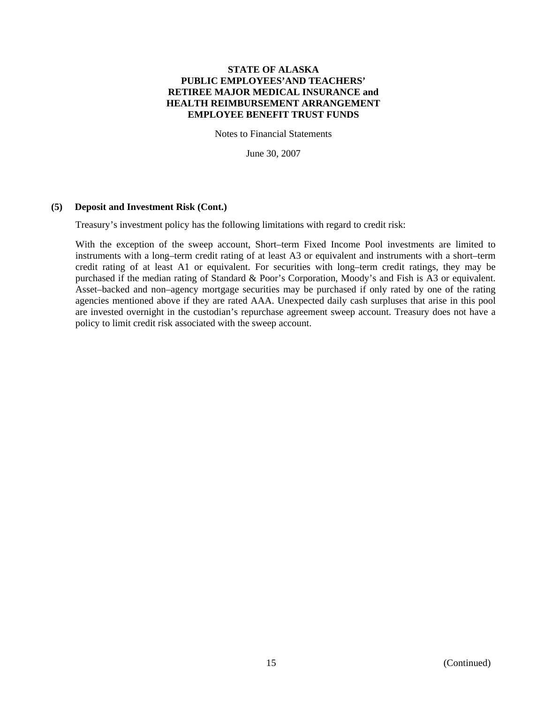Notes to Financial Statements

June 30, 2007

## **(5) Deposit and Investment Risk (Cont.)**

Treasury's investment policy has the following limitations with regard to credit risk:

With the exception of the sweep account, Short–term Fixed Income Pool investments are limited to instruments with a long–term credit rating of at least A3 or equivalent and instruments with a short–term credit rating of at least A1 or equivalent. For securities with long–term credit ratings, they may be purchased if the median rating of Standard & Poor's Corporation, Moody's and Fish is A3 or equivalent. Asset–backed and non–agency mortgage securities may be purchased if only rated by one of the rating agencies mentioned above if they are rated AAA. Unexpected daily cash surpluses that arise in this pool are invested overnight in the custodian's repurchase agreement sweep account. Treasury does not have a policy to limit credit risk associated with the sweep account.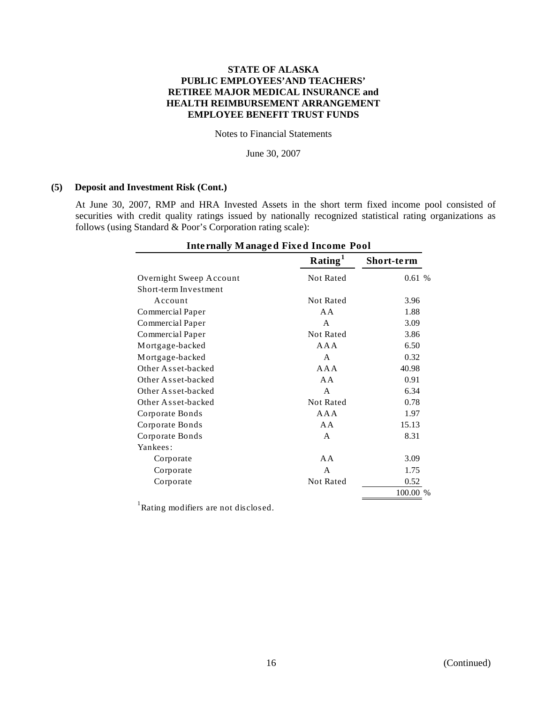Notes to Financial Statements

June 30, 2007

#### **(5) Deposit and Investment Risk (Cont.)**

At June 30, 2007, RMP and HRA Invested Assets in the short term fixed income pool consisted of securities with credit quality ratings issued by nationally recognized statistical rating organizations as follows (using Standard & Poor's Corporation rating scale):

| <b>Internally Managed Fixed Income Pool</b> |                     |            |  |  |
|---------------------------------------------|---------------------|------------|--|--|
|                                             | Rating <sup>1</sup> | Short-term |  |  |
| Overnight Sweep Account                     | Not Rated           | 0.61%      |  |  |
| Short-term Investment                       |                     |            |  |  |
| Account                                     | <b>Not Rated</b>    | 3.96       |  |  |
| Commercial Paper                            | A A                 | 1.88       |  |  |
| Commercial Paper                            | A                   | 3.09       |  |  |
| Commercial Paper                            | <b>Not Rated</b>    | 3.86       |  |  |
| Mortgage-backed                             | A A A               | 6.50       |  |  |
| Mortgage-backed                             | A                   | 0.32       |  |  |
| Other Asset-backed                          | A A A               | 40.98      |  |  |
| Other Asset-backed                          | $A \overline{A}$    | 0.91       |  |  |
| Other Asset-backed                          | A                   | 6.34       |  |  |
| Other Asset-backed                          | <b>Not Rated</b>    | 0.78       |  |  |
| Corporate Bonds                             | A A A               | 1.97       |  |  |
| Corporate Bonds                             | AA                  | 15.13      |  |  |
| Corporate Bonds                             | A                   | 8.31       |  |  |
| Yankees:                                    |                     |            |  |  |
| Corporate                                   | AA                  | 3.09       |  |  |
| Corporate                                   | A                   | 1.75       |  |  |
| Corporate                                   | <b>Not Rated</b>    | 0.52       |  |  |
|                                             |                     | 100.00 %   |  |  |

<sup>1</sup>Rating modifiers are not disclosed.